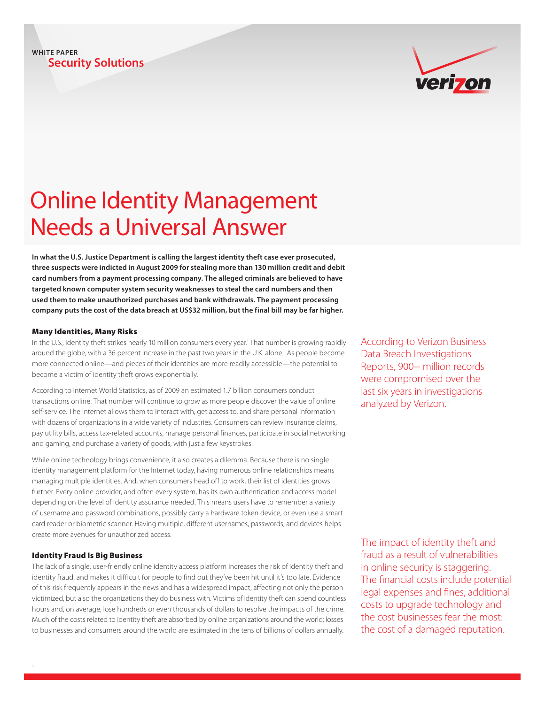#### **Security Solutions WHITE PAPER**

# verizon

## Online Identity Management Needs a Universal Answer

**In what the U.S. Justice Department is calling the largest identity theft case ever prosecuted, three suspects were indicted in August 2009 for stealing more than 130 million credit and debit card numbers from a payment processing company. The alleged criminals are believed to have targeted known computer system security weaknesses to steal the card numbers and then used them to make unauthorized purchases and bank withdrawals. The payment processing company puts the cost of the data breach at US\$32 million, but the final bill may be far higher.**

#### Many Identities, Many Risks

In the U.S., identity theft strikes nearly 10 million consumers every year. That number is growing rapidly around the globe, with a 36 percent increase in the past two years in the U.K. alone." As people become more connected online—and pieces of their identities are more readily accessible—the potential to become a victim of identity theft grows exponentially.

According to Internet World Statistics, as of 2009 an estimated 1.7 billion consumers conduct transactions online. That number will continue to grow as more people discover the value of online self-service. The Internet allows them to interact with, get access to, and share personal information with dozens of organizations in a wide variety of industries. Consumers can review insurance claims, pay utility bills, access tax-related accounts, manage personal finances, participate in social networking and gaming, and purchase a variety of goods, with just a few keystrokes.

While online technology brings convenience, it also creates a dilemma. Because there is no single identity management platform for the Internet today, having numerous online relationships means managing multiple identities. And, when consumers head off to work, their list of identities grows further. Every online provider, and often every system, has its own authentication and access model depending on the level of identity assurance needed. This means users have to remember a variety of username and password combinations, possibly carry a hardware token device, or even use a smart card reader or biometric scanner. Having multiple, different usernames, passwords, and devices helps create more avenues for unauthorized access.

#### Identity Fraud Is Big Business

The lack of a single, user-friendly online identity access platform increases the risk of identity theft and identity fraud, and makes it difficult for people to find out they've been hit until it's too late. Evidence of this risk frequently appears in the news and has a widespread impact, affecting not only the person victimized, but also the organizations they do business with. Victims of identity theft can spend countless hours and, on average, lose hundreds or even thousands of dollars to resolve the impacts of the crime. Much of the costs related to identity theft are absorbed by online organizations around the world; losses to businesses and consumers around the world are estimated in the tens of billions of dollars annually.

According to Verizon Business Data Breach Investigations Reports, 900+ million records were compromised over the last six years in investigations analyzed by Verizon.<sup>iii</sup>

The impact of identity theft and fraud as a result of vulnerabilities in online security is staggering. The financial costs include potential legal expenses and fines, additional costs to upgrade technology and the cost businesses fear the most: the cost of a damaged reputation.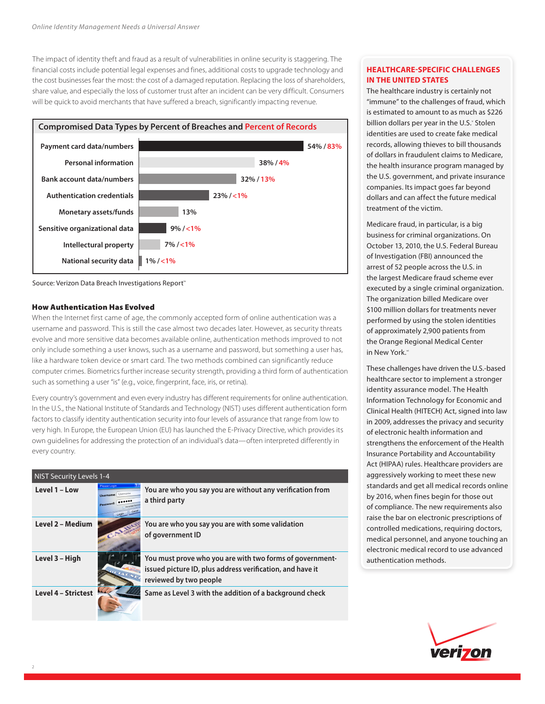The impact of identity theft and fraud as a result of vulnerabilities in online security is staggering. The financial costs include potential legal expenses and fines, additional costs to upgrade technology and the cost businesses fear the most: the cost of a damaged reputation. Replacing the loss of shareholders, share value, and especially the loss of customer trust after an incident can be very difficult. Consumers will be quick to avoid merchants that have suffered a breach, significantly impacting revenue.





#### How Authentication Has Evolved

When the Internet first came of age, the commonly accepted form of online authentication was a username and password. This is still the case almost two decades later. However, as security threats evolve and more sensitive data becomes available online, authentication methods improved to not only include something a user knows, such as a username and password, but something a user has, like a hardware token device or smart card. The two methods combined can significantly reduce computer crimes. Biometrics further increase security strength, providing a third form of authentication such as something a user "is" (e.g., voice, fingerprint, face, iris, or retina).

Every country's government and even every industry has different requirements for online authentication. In the U.S., the National Institute of Standards and Technology (NIST) uses different authentication form factors to classify identity authentication security into four levels of assurance that range from low to very high. In Europe, the European Union (EU) has launched the E-Privacy Directive, which provides its own guidelines for addressing the protection of an individual's data—often interpreted differently in every country.

| <b>NIST Security Levels 1-4</b> |                                                                                 |                                                                                                                                                 |
|---------------------------------|---------------------------------------------------------------------------------|-------------------------------------------------------------------------------------------------------------------------------------------------|
| Level 1 - Low                   | <b>Please Login</b><br><b>Username:</b> Username<br>Password:<br>Canci<br>Login | You are who you say you are without any verification from<br>a third party                                                                      |
| Level 2 - Medium                |                                                                                 | You are who you say you are with some validation<br>of government ID                                                                            |
| Level 3 - High                  |                                                                                 | You must prove who you are with two forms of government-<br>issued picture ID, plus address verification, and have it<br>reviewed by two people |
| <b>Level 4 - Strictest</b>      |                                                                                 | Same as Level 3 with the addition of a background check                                                                                         |

#### **HEALTHCARE-SPECIFIC CHALLENGES IN THE UNITED STATES**

The healthcare industry is certainly not "immune" to the challenges of fraud, which is estimated to amount to as much as \$226 billion dollars per year in the U.S. Stolen identities are used to create fake medical records, allowing thieves to bill thousands of dollars in fraudulent claims to Medicare, the health insurance program managed by the U.S. government, and private insurance companies. Its impact goes far beyond dollars and can affect the future medical treatment of the victim.

Medicare fraud, in particular, is a big business for criminal organizations. On October 13, 2010, the U.S. Federal Bureau of Investigation (FBI) announced the arrest of 52 people across the U.S. in the largest Medicare fraud scheme ever executed by a single criminal organization. The organization billed Medicare over \$100 million dollars for treatments never performed by using the stolen identities of approximately 2,900 patients from the Orange Regional Medical Center in New York.<sup>vi</sup>

These challenges have driven the U.S.-based healthcare sector to implement a stronger identity assurance model. The Health Information Technology for Economic and Clinical Health (HITECH) Act, signed into law in 2009, addresses the privacy and security of electronic health information and strengthens the enforcement of the Health Insurance Portability and Accountability Act (HIPAA) rules. Healthcare providers are aggressively working to meet these new standards and get all medical records online by 2016, when fines begin for those out of compliance. The new requirements also raise the bar on electronic prescriptions of controlled medications, requiring doctors, medical personnel, and anyone touching an electronic medical record to use advanced authentication methods.

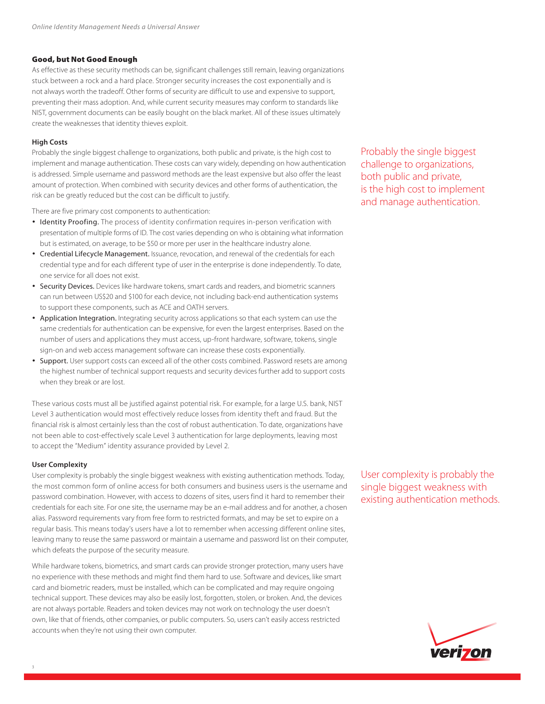#### Good, but Not Good Enough

As effective as these security methods can be, significant challenges still remain, leaving organizations stuck between a rock and a hard place. Stronger security increases the cost exponentially and is not always worth the tradeoff. Other forms of security are difficult to use and expensive to support, preventing their mass adoption. And, while current security measures may conform to standards like NIST, government documents can be easily bought on the black market. All of these issues ultimately create the weaknesses that identity thieves exploit.

#### **High Costs**

Probably the single biggest challenge to organizations, both public and private, is the high cost to implement and manage authentication. These costs can vary widely, depending on how authentication is addressed. Simple username and password methods are the least expensive but also offer the least amount of protection. When combined with security devices and other forms of authentication, the risk can be greatly reduced but the cost can be difficult to justify.

There are five primary cost components to authentication:

- **•** Identity Proofing. The process of identity confirmation requires in-person verification with presentation of multiple forms of ID. The cost varies depending on who is obtaining what information but is estimated, on average, to be \$50 or more per user in the healthcare industry alone.
- **•** Credential Lifecycle Management. Issuance, revocation, and renewal of the credentials for each credential type and for each different type of user in the enterprise is done independently. To date, one service for all does not exist.
- **•** Security Devices. Devices like hardware tokens, smart cards and readers, and biometric scanners can run between US\$20 and \$100 for each device, not including back-end authentication systems to support these components, such as ACE and OATH servers.
- **•** Application Integration. Integrating security across applications so that each system can use the same credentials for authentication can be expensive, for even the largest enterprises. Based on the number of users and applications they must access, up-front hardware, software, tokens, single sign-on and web access management software can increase these costs exponentially.
- **•** Support. User support costs can exceed all of the other costs combined. Password resets are among the highest number of technical support requests and security devices further add to support costs when they break or are lost.

These various costs must all be justified against potential risk. For example, for a large U.S. bank, NIST Level 3 authentication would most effectively reduce losses from identity theft and fraud. But the financial risk is almost certainly less than the cost of robust authentication. To date, organizations have not been able to cost-effectively scale Level 3 authentication for large deployments, leaving most to accept the "Medium" identity assurance provided by Level 2.

#### **User Complexity**

User complexity is probably the single biggest weakness with existing authentication methods. Today, the most common form of online access for both consumers and business users is the username and password combination. However, with access to dozens of sites, users find it hard to remember their credentials for each site. For one site, the username may be an e-mail address and for another, a chosen alias. Password requirements vary from free form to restricted formats, and may be set to expire on a regular basis. This means today's users have a lot to remember when accessing different online sites, leaving many to reuse the same password or maintain a username and password list on their computer, which defeats the purpose of the security measure.

While hardware tokens, biometrics, and smart cards can provide stronger protection, many users have no experience with these methods and might find them hard to use. Software and devices, like smart card and biometric readers, must be installed, which can be complicated and may require ongoing technical support. These devices may also be easily lost, forgotten, stolen, or broken. And, the devices are not always portable. Readers and token devices may not work on technology the user doesn't own, like that of friends, other companies, or public computers. So, users can't easily access restricted accounts when they're not using their own computer.

Probably the single biggest challenge to organizations, both public and private, is the high cost to implement and manage authentication.

User complexity is probably the single biggest weakness with existing authentication methods.

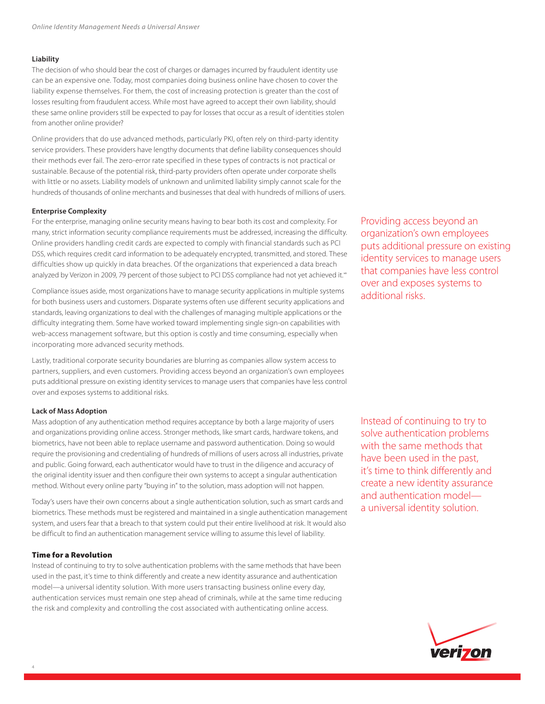#### **Liability**

The decision of who should bear the cost of charges or damages incurred by fraudulent identity use can be an expensive one. Today, most companies doing business online have chosen to cover the liability expense themselves. For them, the cost of increasing protection is greater than the cost of losses resulting from fraudulent access. While most have agreed to accept their own liability, should these same online providers still be expected to pay for losses that occur as a result of identities stolen from another online provider?

Online providers that do use advanced methods, particularly PKI, often rely on third-party identity service providers. These providers have lengthy documents that define liability consequences should their methods ever fail. The zero-error rate specified in these types of contracts is not practical or sustainable. Because of the potential risk, third-party providers often operate under corporate shells with little or no assets. Liability models of unknown and unlimited liability simply cannot scale for the hundreds of thousands of online merchants and businesses that deal with hundreds of millions of users.

#### **Enterprise Complexity**

For the enterprise, managing online security means having to bear both its cost and complexity. For many, strict information security compliance requirements must be addressed, increasing the difficulty. Online providers handling credit cards are expected to comply with financial standards such as PCI DSS, which requires credit card information to be adequately encrypted, transmitted, and stored. These difficulties show up quickly in data breaches. Of the organizations that experienced a data breach analyzed by Verizon in 2009, 79 percent of those subject to PCI DSS compliance had not yet achieved it.<sup>48</sup>

Compliance issues aside, most organizations have to manage security applications in multiple systems for both business users and customers. Disparate systems often use different security applications and standards, leaving organizations to deal with the challenges of managing multiple applications or the difficulty integrating them. Some have worked toward implementing single sign-on capabilities with web-access management software, but this option is costly and time consuming, especially when incorporating more advanced security methods.

Lastly, traditional corporate security boundaries are blurring as companies allow system access to partners, suppliers, and even customers. Providing access beyond an organization's own employees puts additional pressure on existing identity services to manage users that companies have less control over and exposes systems to additional risks.

#### **Lack of Mass Adoption**

Mass adoption of any authentication method requires acceptance by both a large majority of users and organizations providing online access. Stronger methods, like smart cards, hardware tokens, and biometrics, have not been able to replace username and password authentication. Doing so would require the provisioning and credentialing of hundreds of millions of users across all industries, private and public. Going forward, each authenticator would have to trust in the diligence and accuracy of the original identity issuer and then configure their own systems to accept a singular authentication method. Without every online party "buying in" to the solution, mass adoption will not happen.

Today's users have their own concerns about a single authentication solution, such as smart cards and biometrics. These methods must be registered and maintained in a single authentication management system, and users fear that a breach to that system could put their entire livelihood at risk. It would also be difficult to find an authentication management service willing to assume this level of liability.

#### Time for a Revolution

Instead of continuing to try to solve authentication problems with the same methods that have been used in the past, it's time to think differently and create a new identity assurance and authentication model—a universal identity solution. With more users transacting business online every day, authentication services must remain one step ahead of criminals, while at the same time reducing the risk and complexity and controlling the cost associated with authenticating online access.

Providing access beyond an organization's own employees puts additional pressure on existing identity services to manage users that companies have less control over and exposes systems to additional risks.

Instead of continuing to try to solve authentication problems with the same methods that have been used in the past, it's time to think differently and create a new identity assurance and authentication model a universal identity solution.

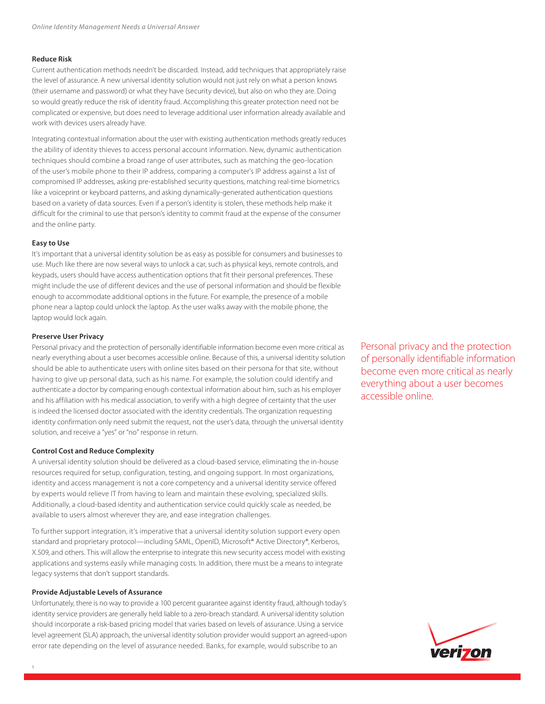#### **Reduce Risk**

Current authentication methods needn't be discarded. Instead, add techniques that appropriately raise the level of assurance. A new universal identity solution would not just rely on what a person knows (their username and password) or what they have (security device), but also on who they are. Doing so would greatly reduce the risk of identity fraud. Accomplishing this greater protection need not be complicated or expensive, but does need to leverage additional user information already available and work with devices users already have.

Integrating contextual information about the user with existing authentication methods greatly reduces the ability of identity thieves to access personal account information. New, dynamic authentication techniques should combine a broad range of user attributes, such as matching the geo-location of the user's mobile phone to their IP address, comparing a computer's IP address against a list of compromised IP addresses, asking pre-established security questions, matching real-time biometrics like a voiceprint or keyboard patterns, and asking dynamically-generated authentication questions based on a variety of data sources. Even if a person's identity is stolen, these methods help make it difficult for the criminal to use that person's identity to commit fraud at the expense of the consumer and the online party.

#### **Easy to Use**

It's important that a universal identity solution be as easy as possible for consumers and businesses to use. Much like there are now several ways to unlock a car, such as physical keys, remote controls, and keypads, users should have access authentication options that fit their personal preferences. These might include the use of different devices and the use of personal information and should be flexible enough to accommodate additional options in the future. For example, the presence of a mobile phone near a laptop could unlock the laptop. As the user walks away with the mobile phone, the laptop would lock again.

#### **Preserve User Privacy**

Personal privacy and the protection of personally identifiable information become even more critical as nearly everything about a user becomes accessible online. Because of this, a universal identity solution should be able to authenticate users with online sites based on their persona for that site, without having to give up personal data, such as his name. For example, the solution could identify and authenticate a doctor by comparing enough contextual information about him, such as his employer and his affiliation with his medical association, to verify with a high degree of certainty that the user is indeed the licensed doctor associated with the identity credentials. The organization requesting identity confirmation only need submit the request, not the user's data, through the universal identity solution, and receive a "yes" or "no" response in return.

#### **Control Cost and Reduce Complexity**

A universal identity solution should be delivered as a cloud-based service, eliminating the in-house resources required for setup, configuration, testing, and ongoing support. In most organizations, identity and access management is not a core competency and a universal identity service offered by experts would relieve IT from having to learn and maintain these evolving, specialized skills. Additionally, a cloud-based identity and authentication service could quickly scale as needed, be available to users almost wherever they are, and ease integration challenges.

To further support integration, it's imperative that a universal identity solution support every open standard and proprietary protocol—including SAML, OpenID, Microsoft® Active Directory®, Kerberos, X.509, and others. This will allow the enterprise to integrate this new security access model with existing applications and systems easily while managing costs. In addition, there must be a means to integrate legacy systems that don't support standards.

#### **Provide Adjustable Levels of Assurance**

Unfortunately, there is no way to provide a 100 percent guarantee against identity fraud, although today's identity service providers are generally held liable to a zero-breach standard. A universal identity solution should incorporate a risk-based pricing model that varies based on levels of assurance. Using a service level agreement (SLA) approach, the universal identity solution provider would support an agreed-upon error rate depending on the level of assurance needed. Banks, for example, would subscribe to an

Personal privacy and the protection of personally identifiable information become even more critical as nearly everything about a user becomes accessible online.